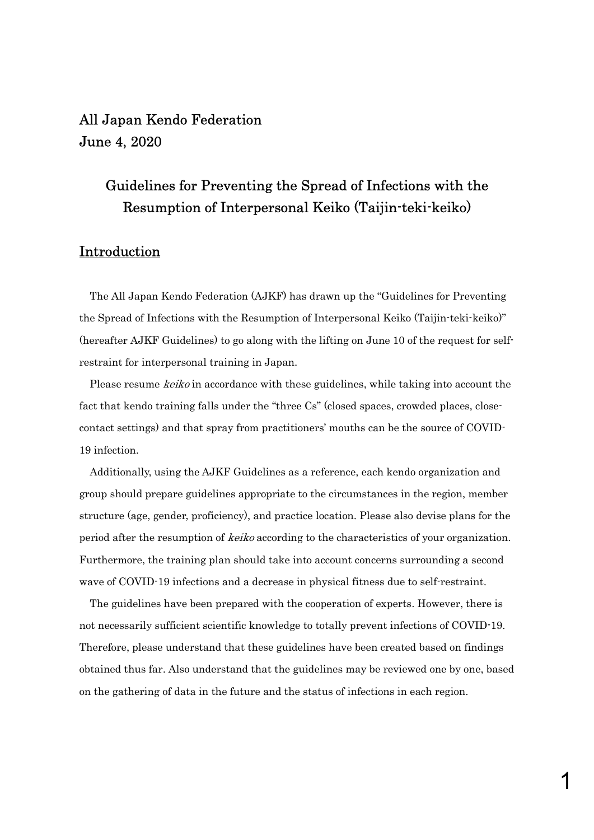# All Japan Kendo Federation June 4, 2020

# Guidelines for Preventing the Spread of Infections with the Resumption of Interpersonal Keiko (Taijin-teki-keiko)

# Introduction

The All Japan Kendo Federation (AJKF) has drawn up the "Guidelines for Preventing the Spread of Infections with the Resumption of Interpersonal Keiko (Taijin-teki-keiko)" (hereafter AJKF Guidelines) to go along with the lifting on June 10 of the request for selfrestraint for interpersonal training in Japan.

Please resume *keiko* in accordance with these guidelines, while taking into account the fact that kendo training falls under the "three Cs" (closed spaces, crowded places, closecontact settings) and that spray from practitioners' mouths can be the source of COVID-19 infection.

Additionally, using the AJKF Guidelines as a reference, each kendo organization and group should prepare guidelines appropriate to the circumstances in the region, member structure (age, gender, proficiency), and practice location. Please also devise plans for the period after the resumption of keiko according to the characteristics of your organization. Furthermore, the training plan should take into account concerns surrounding a second wave of COVID-19 infections and a decrease in physical fitness due to self-restraint.

The guidelines have been prepared with the cooperation of experts. However, there is not necessarily sufficient scientific knowledge to totally prevent infections of COVID-19. Therefore, please understand that these guidelines have been created based on findings obtained thus far. Also understand that the guidelines may be reviewed one by one, based on the gathering of data in the future and the status of infections in each region.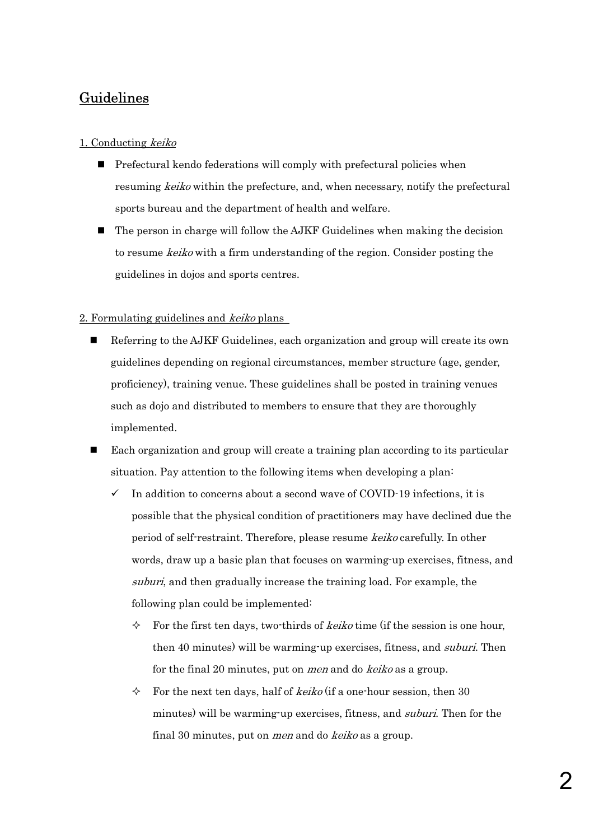# Guidelines

# 1. Conducting keiko

- $\blacksquare$  Prefectural kendo federations will comply with prefectural policies when resuming keiko within the prefecture, and, when necessary, notify the prefectural sports bureau and the department of health and welfare.
- The person in charge will follow the AJKF Guidelines when making the decision to resume keiko with a firm understanding of the region. Consider posting the guidelines in dojos and sports centres.

## 2. Formulating guidelines and keiko plans

- Referring to the AJKF Guidelines, each organization and group will create its own guidelines depending on regional circumstances, member structure (age, gender, proficiency), training venue. These guidelines shall be posted in training venues such as dojo and distributed to members to ensure that they are thoroughly implemented.
- Each organization and group will create a training plan according to its particular situation. Pay attention to the following items when developing a plan:
	- $\checkmark$  In addition to concerns about a second wave of COVID-19 infections, it is possible that the physical condition of practitioners may have declined due the period of self-restraint. Therefore, please resume keiko carefully. In other words, draw up a basic plan that focuses on warming-up exercises, fitness, and suburi, and then gradually increase the training load. For example, the following plan could be implemented:
		- $\Diamond$  For the first ten days, two-thirds of *keiko* time (if the session is one hour, then 40 minutes) will be warming-up exercises, fitness, and *suburi*. Then for the final 20 minutes, put on men and do keiko as a group.
		- $\Diamond$  For the next ten days, half of *keiko* (if a one-hour session, then 30 minutes) will be warming-up exercises, fitness, and suburi. Then for the final 30 minutes, put on *men* and do keiko as a group.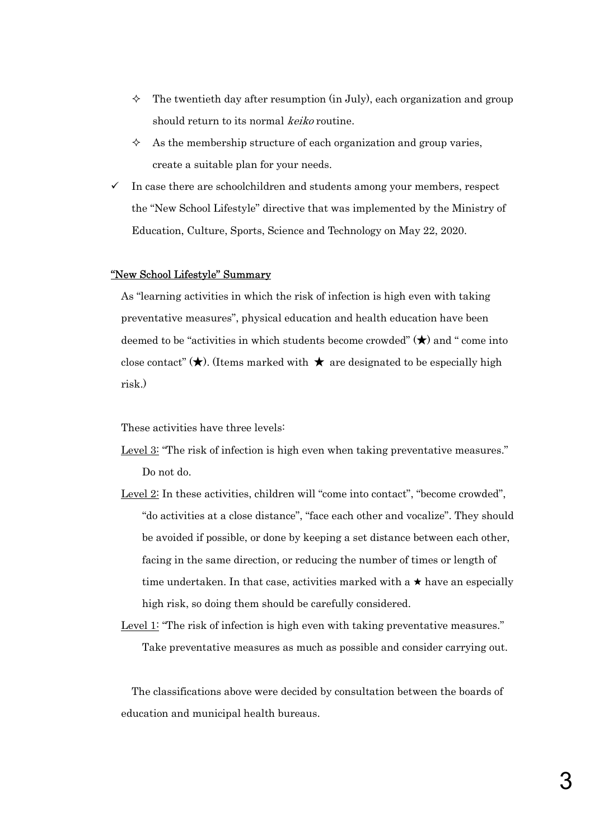- $\Diamond$  The twentieth day after resumption (in July), each organization and group should return to its normal keiko routine.
- $\Diamond$  As the membership structure of each organization and group varies, create a suitable plan for your needs.
- $\checkmark$  In case there are schoolchildren and students among your members, respect the "New School Lifestyle" directive that was implemented by the Ministry of Education, Culture, Sports, Science and Technology on May 22, 2020.

#### "New School Lifestyle" Summary

As "learning activities in which the risk of infection is high even with taking preventative measures", physical education and health education have been deemed to be "activities in which students become crowded" (**★**) and " come into close contact" (**★**). (Items marked with **★** are designated to be especially high risk.)

These activities have three levels:

- Level 3: "The risk of infection is high even when taking preventative measures." Do not do.
- Level 2: In these activities, children will "come into contact", "become crowded", "do activities at a close distance", "face each other and vocalize". They should be avoided if possible, or done by keeping a set distance between each other, facing in the same direction, or reducing the number of times or length of time undertaken. In that case, activities marked with a  $\star$  have an especially high risk, so doing them should be carefully considered.
- Level 1: "The risk of infection is high even with taking preventative measures." Take preventative measures as much as possible and consider carrying out.

The classifications above were decided by consultation between the boards of education and municipal health bureaus.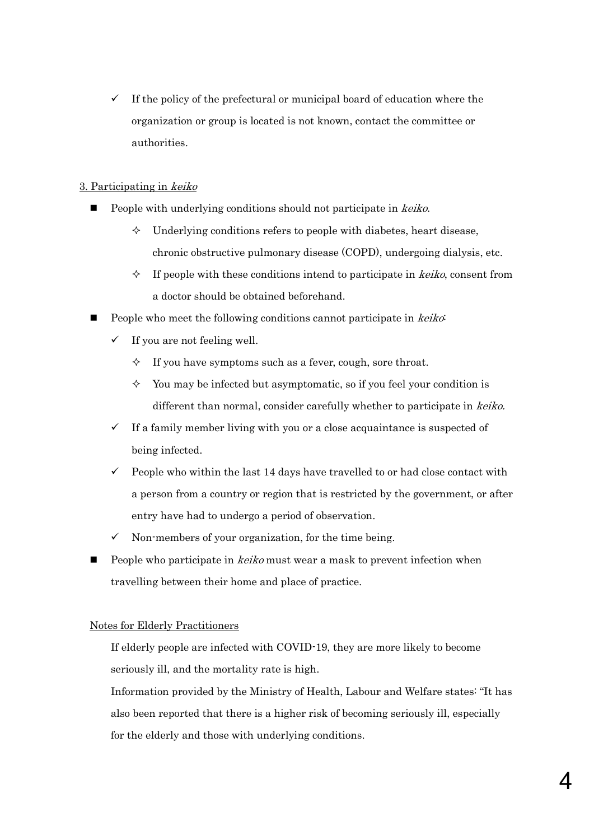If the policy of the prefectural or municipal board of education where the organization or group is located is not known, contact the committee or authorities.

## 3. Participating in keiko

- People with underlying conditions should not participate in keiko.
	- $\Diamond$  Underlying conditions refers to people with diabetes, heart disease, chronic obstructive pulmonary disease (COPD), undergoing dialysis, etc.
	- $\Diamond$  If people with these conditions intend to participate in *keiko*, consent from a doctor should be obtained beforehand.
- People who meet the following conditions cannot participate in *keiko*:
	- $\checkmark$  If you are not feeling well.
		- $\Diamond$  If you have symptoms such as a fever, cough, sore throat.
		- $\Diamond$  You may be infected but asymptomatic, so if you feel your condition is different than normal, consider carefully whether to participate in keiko.
	- $\checkmark$  If a family member living with you or a close acquaintance is suspected of being infected.
	- $\checkmark$  People who within the last 14 days have travelled to or had close contact with a person from a country or region that is restricted by the government, or after entry have had to undergo a period of observation.
	- $\checkmark$  Non-members of your organization, for the time being.
- People who participate in *keiko* must wear a mask to prevent infection when travelling between their home and place of practice.

## Notes for Elderly Practitioners

If elderly people are infected with COVID-19, they are more likely to become seriously ill, and the mortality rate is high.

Information provided by the Ministry of Health, Labour and Welfare states: "It has also been reported that there is a higher risk of becoming seriously ill, especially for the elderly and those with underlying conditions.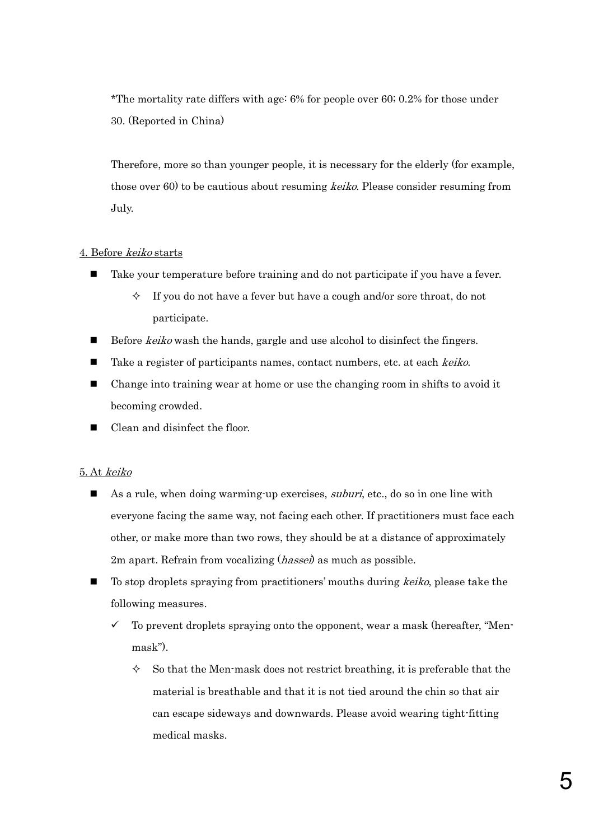\*The mortality rate differs with age: 6% for people over 60; 0.2% for those under 30. (Reported in China)

Therefore, more so than younger people, it is necessary for the elderly (for example, those over 60) to be cautious about resuming *keiko*. Please consider resuming from July.

#### 4. Before keiko starts

- Take your temperature before training and do not participate if you have a fever.
	- $\Diamond$  If you do not have a fever but have a cough and/or sore throat, do not participate.
- Before *keiko* wash the hands, gargle and use alcohol to disinfect the fingers.
- Take a register of participants names, contact numbers, etc. at each keiko.
- Change into training wear at home or use the changing room in shifts to avoid it becoming crowded.
- Clean and disinfect the floor.

#### 5. At keiko

- As a rule, when doing warming-up exercises, *suburi*, etc., do so in one line with everyone facing the same way, not facing each other. If practitioners must face each other, or make more than two rows, they should be at a distance of approximately 2m apart. Refrain from vocalizing (*hassei*) as much as possible.
- To stop droplets spraying from practitioners' mouths during keiko, please take the following measures.
	- 9 To prevent droplets spraying onto the opponent, wear a mask (hereafter, "Menmask").
		- $\Diamond$  So that the Men-mask does not restrict breathing, it is preferable that the material is breathable and that it is not tied around the chin so that air can escape sideways and downwards. Please avoid wearing tight-fitting medical masks.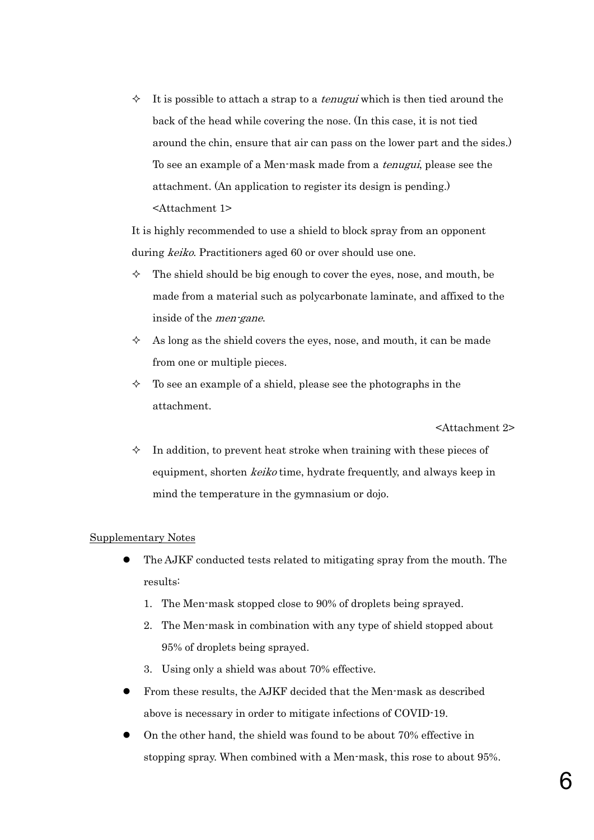$\Diamond$  It is possible to attach a strap to a *tenugui* which is then tied around the back of the head while covering the nose. (In this case, it is not tied around the chin, ensure that air can pass on the lower part and the sides.) To see an example of a Men-mask made from a tenugui, please see the attachment. (An application to register its design is pending.) <Attachment 1>

It is highly recommended to use a shield to block spray from an opponent during *keiko*. Practitioners aged 60 or over should use one.

- $\Diamond$  The shield should be big enough to cover the eyes, nose, and mouth, be made from a material such as polycarbonate laminate, and affixed to the inside of the men-gane.
- $\Diamond$  As long as the shield covers the eyes, nose, and mouth, it can be made from one or multiple pieces.
- $\Diamond$  To see an example of a shield, please see the photographs in the attachment.

<Attachment 2>

 $\Diamond$  In addition, to prevent heat stroke when training with these pieces of equipment, shorten *keiko* time, hydrate frequently, and always keep in mind the temperature in the gymnasium or dojo.

#### Supplementary Notes

- The AJKF conducted tests related to mitigating spray from the mouth. The results:
	- 1. The Men-mask stopped close to 90% of droplets being sprayed.
	- 2. The Men-mask in combination with any type of shield stopped about 95% of droplets being sprayed.
	- 3. Using only a shield was about 70% effective.
- From these results, the AJKF decided that the Men-mask as described above is necessary in order to mitigate infections of COVID-19.
- On the other hand, the shield was found to be about 70% effective in stopping spray. When combined with a Men-mask, this rose to about 95%.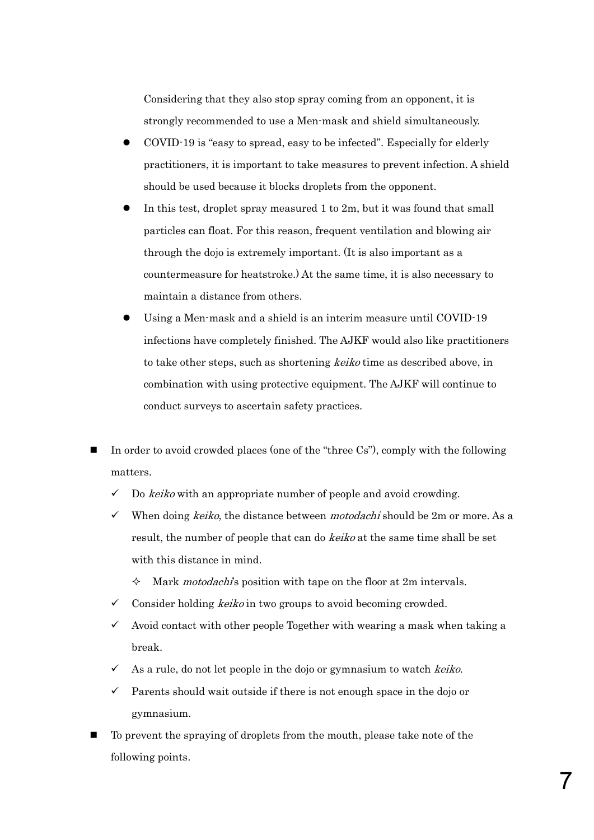Considering that they also stop spray coming from an opponent, it is strongly recommended to use a Men-mask and shield simultaneously.

- z COVID-19 is "easy to spread, easy to be infected". Especially for elderly practitioners, it is important to take measures to prevent infection. A shield should be used because it blocks droplets from the opponent.
- In this test, droplet spray measured 1 to 2m, but it was found that small particles can float. For this reason, frequent ventilation and blowing air through the dojo is extremely important. (It is also important as a countermeasure for heatstroke.) At the same time, it is also necessary to maintain a distance from others.
- Using a Men-mask and a shield is an interim measure until COVID-19 infections have completely finished. The AJKF would also like practitioners to take other steps, such as shortening keiko time as described above, in combination with using protective equipment. The AJKF will continue to conduct surveys to ascertain safety practices.
- In order to avoid crowded places (one of the "three Cs"), comply with the following matters.
	- $\checkmark$  Do keiko with an appropriate number of people and avoid crowding.
	- $\checkmark$  When doing *keiko*, the distance between *motodachi* should be 2m or more. As a result, the number of people that can do keiko at the same time shall be set with this distance in mind.
		- Mark *motodachi*'s position with tape on the floor at 2m intervals.
	- Consider holding *keiko* in two groups to avoid becoming crowded.
	- 9 Avoid contact with other people Together with wearing a mask when taking a break.
	- $\checkmark$  As a rule, do not let people in the dojo or gymnasium to watch *keiko*.
	- 9 Parents should wait outside if there is not enough space in the dojo or gymnasium.
- To prevent the spraying of droplets from the mouth, please take note of the following points.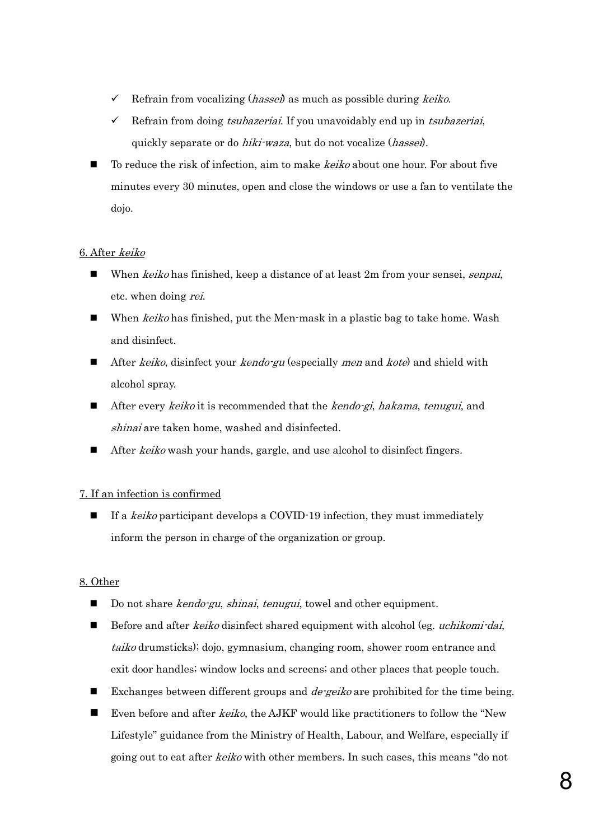- $\checkmark$  Refrain from vocalizing (*hassei*) as much as possible during *keiko*.
- Refrain from doing *tsubazeriai*. If you unavoidably end up in *tsubazeriai*, quickly separate or do *hiki-waza*, but do not vocalize (*hassei*).
- To reduce the risk of infection, aim to make *keiko* about one hour. For about five minutes every 30 minutes, open and close the windows or use a fan to ventilate the dojo.

## 6. After keiko

- When *keiko* has finished, keep a distance of at least 2m from your sensei, *senpai*, etc. when doing rei.
- When *keiko* has finished, put the Men-mask in a plastic bag to take home. Wash and disinfect.
- After *keiko*, disinfect your *kendo-gu* (especially *men* and *kote*) and shield with alcohol spray.
- After every keiko it is recommended that the kendo-gi, hakama, tenugui, and shinai are taken home, washed and disinfected.
- After keiko wash your hands, gargle, and use alcohol to disinfect fingers.

## 7. If an infection is confirmed

If a *keiko* participant develops a COVID-19 infection, they must immediately inform the person in charge of the organization or group.

## 8. Other

- Do not share *kendo-gu, shinai, tenugui,* towel and other equipment.
- Before and after *keiko* disinfect shared equipment with alcohol (eg. *uchikomi-dai*, taiko drumsticks); dojo, gymnasium, changing room, shower room entrance and exit door handles; window locks and screens; and other places that people touch.
- Exchanges between different groups and *de-geiko* are prohibited for the time being.
- Even before and after keiko, the AJKF would like practitioners to follow the "New Lifestyle" guidance from the Ministry of Health, Labour, and Welfare, especially if going out to eat after *keiko* with other members. In such cases, this means "do not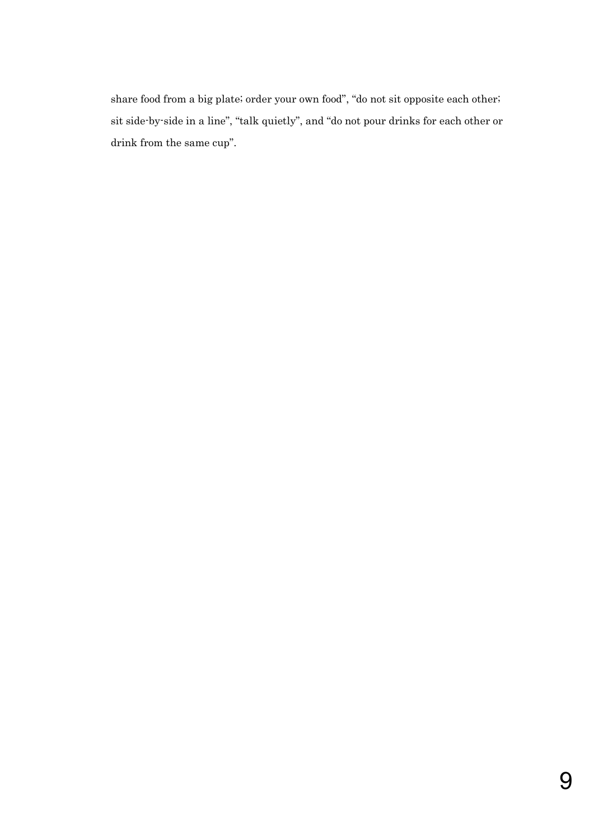share food from a big plate; order your own food", "do not sit opposite each other; sit side-by-side in a line", "talk quietly", and "do not pour drinks for each other or drink from the same cup".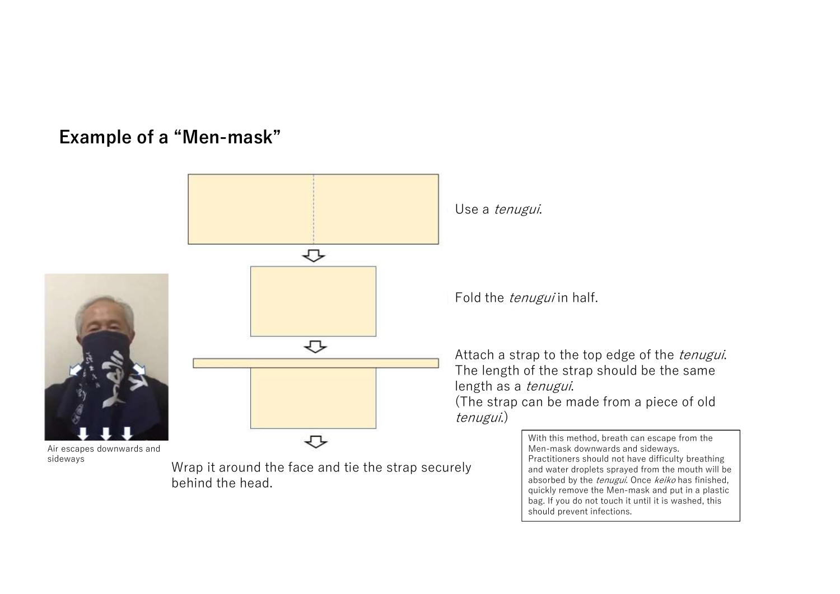# **Example of a "Men-mask"**

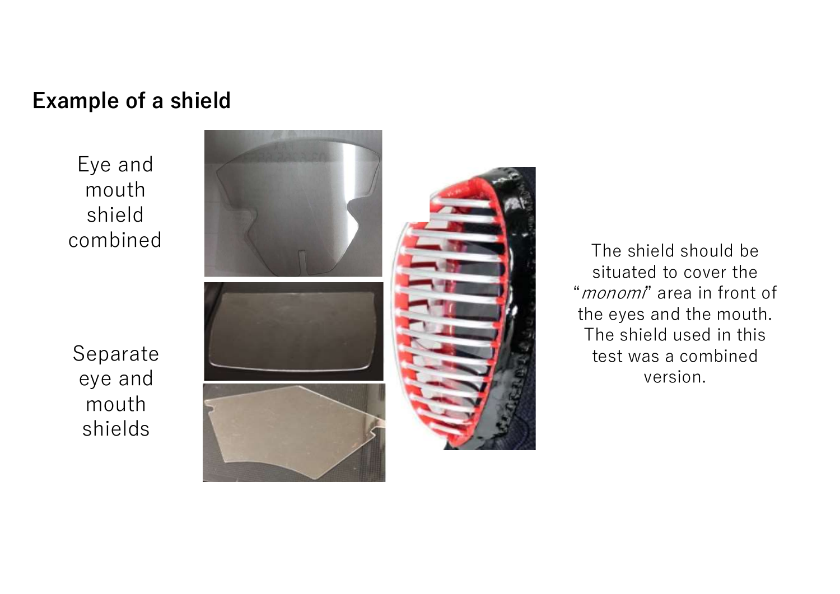# **Example of a shield**

Eye and mouth shield combined





The shield should be situated to cover the "monomi" area in front of the eyes and the mouth. The shield used in this test was a combined version.